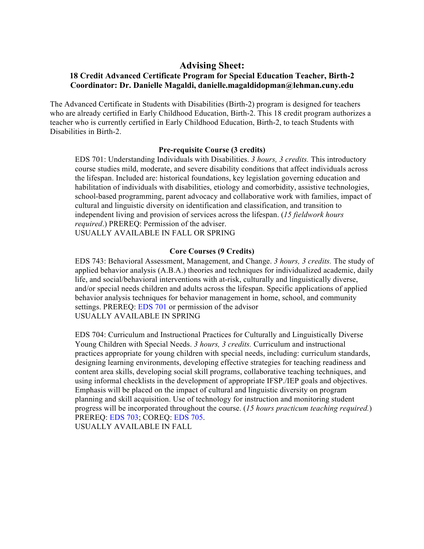# **Advising Sheet:**

## **18 Credit Advanced Certificate Program for Special Education Teacher, Birth-2 Coordinator: Dr. Danielle Magaldi, danielle.magaldidopman@lehman.cuny.edu**

The Advanced Certificate in Students with Disabilities (Birth-2) program is designed for teachers who are already certified in Early Childhood Education, Birth-2. This 18 credit program authorizes a teacher who is currently certified in Early Childhood Education, Birth-2, to teach Students with Disabilities in Birth-2.

#### **Pre-requisite Course (3 credits)**

 EDS 701: Understanding Individuals with Disabilities. *3 hours, 3 credits.* This introductory course studies mild, moderate, and severe disability conditions that affect individuals across the lifespan. Included are: historical foundations, key legislation governing education and habilitation of individuals with disabilities, etiology and comorbidity, assistive technologies, school-based programming, parent advocacy and collaborative work with families, impact of cultural and linguistic diversity on identification and classification, and transition to independent living and provision of services across the lifespan. (*15 fieldwork hours required*.) PREREQ: Permission of the adviser.

USUALLY AVAILABLE IN FALL OR SPRING

### **Core Courses (9 Credits)**

 EDS 743: Behavioral Assessment, Management, and Change. *3 hours, 3 credits.* The study of applied behavior analysis (A.B.A.) theories and techniques for individualized academic, daily life, and social/behavioral interventions with at-risk, culturally and linguistically diverse, and/or special needs children and adults across the lifespan. Specific applications of applied behavior analysis techniques for behavior management in home, school, and community settings. PREREQ: EDS 701 or permission of the advisor USUALLY AVAILABLE IN SPRING

 EDS 704: Curriculum and Instructional Practices for Culturally and Linguistically Diverse Young Children with Special Needs. *3 hours, 3 credits.* Curriculum and instructional practices appropriate for young children with special needs, including: curriculum standards, designing learning environments, developing effective strategies for teaching readiness and content area skills, developing social skill programs, collaborative teaching techniques, and using informal checklists in the development of appropriate IFSP./IEP goals and objectives. Emphasis will be placed on the impact of cultural and linguistic diversity on program planning and skill acquisition. Use of technology for instruction and monitoring student progress will be incorporated throughout the course. (*15 hours practicum teaching required.*) PREREQ: EDS 703; COREQ: EDS 705. USUALLY AVAILABLE IN FALL